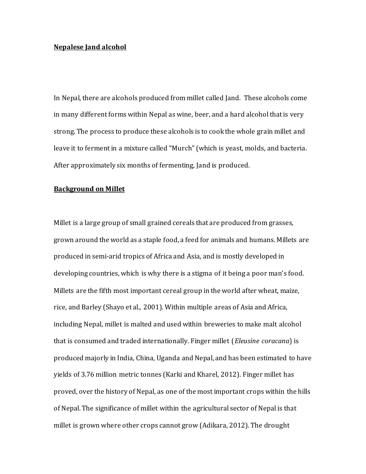#### **Nepalese Jand alcohol**

In Nepal, there are alcohols produced from millet called Jand. These alcohols come in many different forms within Nepal as wine, beer, and a hard alcohol that is very strong. The process to produce these alcohols is to cook the whole grain millet and leave it to ferment in a mixture called "Murch" (which is yeast, molds, and bacteria. After approximately six months of fermenting, Jand is produced.

### **Background on Millet**

Millet is a large group of small grained cereals that are produced from grasses, grown around the world as a staple food, a feed for animals and humans. Millets are produced in semi-arid tropics of Africa and Asia, and is mostly developed in developing countries, which is why there is a stigma of it being a poor man's food. Millets are the fifth most important cereal group in the world after wheat, maize, rice, and Barley (Shayo et al., 2001). Within multiple areas of Asia and Africa, including Nepal, millet is malted and used within breweries to make malt alcohol that is consumed and traded internationally. Finger millet (*Eleusine coracana*) is produced majorly in India, China, Uganda and Nepal, and has been estimated to have yields of 3.76 million metric tonnes (Karki and Kharel, 2012). Finger millet has proved, over the history of Nepal, as one of the most important crops within the hills of Nepal. The significance of millet within the agricultural sector of Nepal is that millet is grown where other crops cannot grow (Adikara, 2012). The drought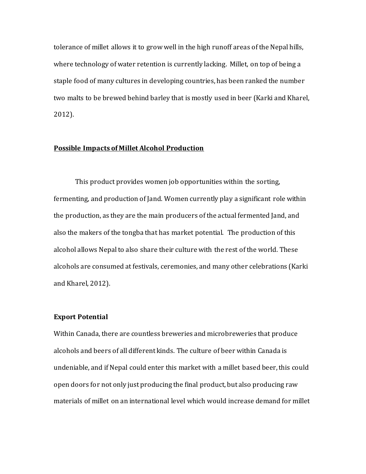tolerance of millet allows it to grow well in the high runoff areas of the Nepal hills, where technology of water retention is currently lacking. Millet, on top of being a staple food of many cultures in developing countries, has been ranked the number two malts to be brewed behind barley that is mostly used in beer (Karki and Kharel, 2012).

## **Possible Impacts of Millet Alcohol Production**

This product provides women job opportunities within the sorting, fermenting, and production of Jand. Women currently play a significant role within the production, as they are the main producers of the actual fermented Jand, and also the makers of the tongba that has market potential. The production of this alcohol allows Nepal to also share their culture with the rest of the world. These alcohols are consumed at festivals, ceremonies, and many other celebrations (Karki and Kharel, 2012).

# **Export Potential**

Within Canada, there are countless breweries and microbreweries that produce alcohols and beers of all different kinds. The culture of beer within Canada is undeniable, and if Nepal could enter this market with a millet based beer, this could open doors for not only just producing the final product, but also producing raw materials of millet on an international level which would increase demand for millet